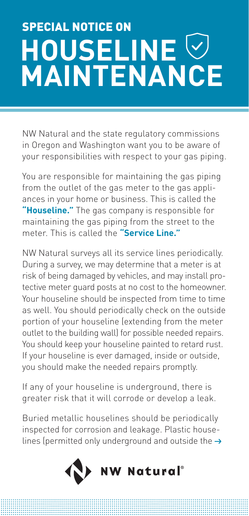## SPECIAL NOTICE ON **HOUSELINE MAINTENANCE**

NW Natural and the state regulatory commissions in Oregon and Washington want you to be aware of your responsibilities with respect to your gas piping.

You are responsible for maintaining the gas piping from the outlet of the gas meter to the gas appliances in your home or business. This is called the **"Houseline."** The gas company is responsible for maintaining the gas piping from the street to the meter. This is called the **"Service Line."**

NW Natural surveys all its service lines periodically. During a survey, we may determine that a meter is at risk of being damaged by vehicles, and may install protective meter guard posts at no cost to the homeowner. Your houseline should be inspected from time to time as well. You should periodically check on the outside portion of your houseline (extending from the meter outlet to the building wall) for possible needed repairs. You should keep your houseline painted to retard rust. If your houseline is ever damaged, inside or outside, you should make the needed repairs promptly.

If any of your houseline is underground, there is greater risk that it will corrode or develop a leak.

Buried metallic houselines should be periodically inspected for corrosion and leakage. Plastic houselines (permitted only underground and outside the  $\rightarrow$